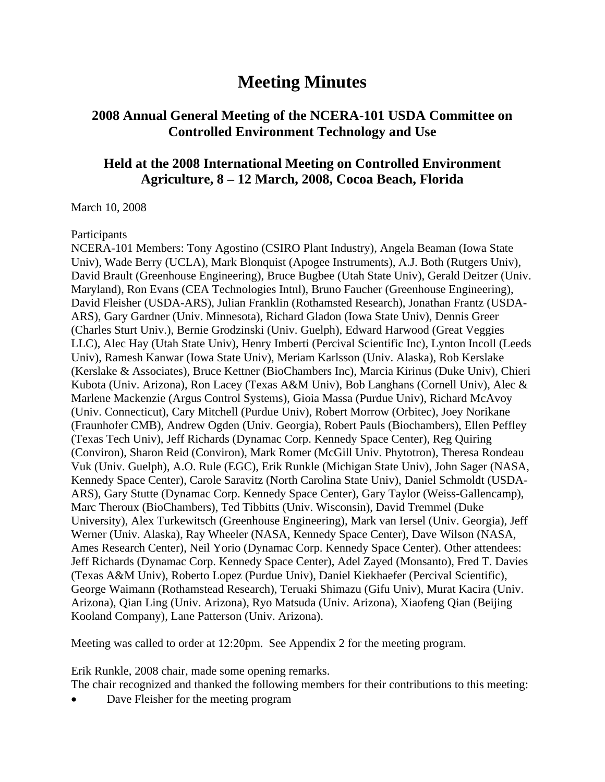# **Meeting Minutes**

## **2008 Annual General Meeting of the NCERA-101 USDA Committee on Controlled Environment Technology and Use**

## **Held at the 2008 International Meeting on Controlled Environment Agriculture, 8 – 12 March, 2008, Cocoa Beach, Florida**

March 10, 2008

#### Participants

NCERA-101 Members: Tony Agostino (CSIRO Plant Industry), Angela Beaman (Iowa State Univ), Wade Berry (UCLA), Mark Blonquist (Apogee Instruments), A.J. Both (Rutgers Univ), David Brault (Greenhouse Engineering), Bruce Bugbee (Utah State Univ), Gerald Deitzer (Univ. Maryland), Ron Evans (CEA Technologies Intnl), Bruno Faucher (Greenhouse Engineering), David Fleisher (USDA-ARS), Julian Franklin (Rothamsted Research), Jonathan Frantz (USDA-ARS), Gary Gardner (Univ. Minnesota), Richard Gladon (Iowa State Univ), Dennis Greer (Charles Sturt Univ.), Bernie Grodzinski (Univ. Guelph), Edward Harwood (Great Veggies LLC), Alec Hay (Utah State Univ), Henry Imberti (Percival Scientific Inc), Lynton Incoll (Leeds Univ), Ramesh Kanwar (Iowa State Univ), Meriam Karlsson (Univ. Alaska), Rob Kerslake (Kerslake & Associates), Bruce Kettner (BioChambers Inc), Marcia Kirinus (Duke Univ), Chieri Kubota (Univ. Arizona), Ron Lacey (Texas A&M Univ), Bob Langhans (Cornell Univ), Alec & Marlene Mackenzie (Argus Control Systems), Gioia Massa (Purdue Univ), Richard McAvoy (Univ. Connecticut), Cary Mitchell (Purdue Univ), Robert Morrow (Orbitec), Joey Norikane (Fraunhofer CMB), Andrew Ogden (Univ. Georgia), Robert Pauls (Biochambers), Ellen Peffley (Texas Tech Univ), Jeff Richards (Dynamac Corp. Kennedy Space Center), Reg Quiring (Conviron), Sharon Reid (Conviron), Mark Romer (McGill Univ. Phytotron), Theresa Rondeau Vuk (Univ. Guelph), A.O. Rule (EGC), Erik Runkle (Michigan State Univ), John Sager (NASA, Kennedy Space Center), Carole Saravitz (North Carolina State Univ), Daniel Schmoldt (USDA-ARS), Gary Stutte (Dynamac Corp. Kennedy Space Center), Gary Taylor (Weiss-Gallencamp), Marc Theroux (BioChambers), Ted Tibbitts (Univ. Wisconsin), David Tremmel (Duke University), Alex Turkewitsch (Greenhouse Engineering), Mark van Iersel (Univ. Georgia), Jeff Werner (Univ. Alaska), Ray Wheeler (NASA, Kennedy Space Center), Dave Wilson (NASA, Ames Research Center), Neil Yorio (Dynamac Corp. Kennedy Space Center). Other attendees: Jeff Richards (Dynamac Corp. Kennedy Space Center), Adel Zayed (Monsanto), Fred T. Davies (Texas A&M Univ), Roberto Lopez (Purdue Univ), Daniel Kiekhaefer (Percival Scientific), George Waimann (Rothamstead Research), Teruaki Shimazu (Gifu Univ), Murat Kacira (Univ. Arizona), Qian Ling (Univ. Arizona), Ryo Matsuda (Univ. Arizona), Xiaofeng Qian (Beijing Kooland Company), Lane Patterson (Univ. Arizona).

Meeting was called to order at 12:20pm. See Appendix 2 for the meeting program.

Erik Runkle, 2008 chair, made some opening remarks.

The chair recognized and thanked the following members for their contributions to this meeting:

Dave Fleisher for the meeting program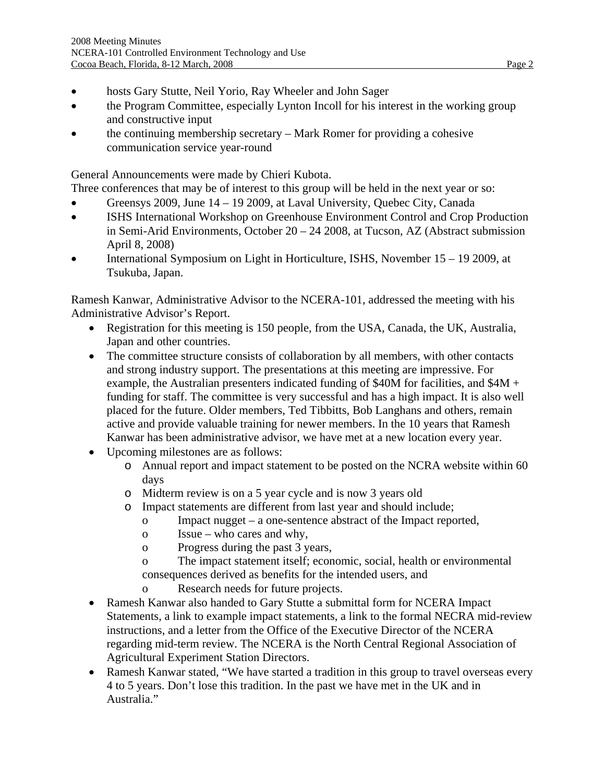- hosts Gary Stutte, Neil Yorio, Ray Wheeler and John Sager
- the Program Committee, especially Lynton Incoll for his interest in the working group and constructive input
- the continuing membership secretary Mark Romer for providing a cohesive communication service year-round

General Announcements were made by Chieri Kubota.

Three conferences that may be of interest to this group will be held in the next year or so:

- Greensys 2009, June 14 19 2009, at Laval University, Quebec City, Canada
- ISHS International Workshop on Greenhouse Environment Control and Crop Production in Semi-Arid Environments, October 20 – 24 2008, at Tucson, AZ (Abstract submission April 8, 2008)
- International Symposium on Light in Horticulture, ISHS, November 15 19 2009, at Tsukuba, Japan.

Ramesh Kanwar, Administrative Advisor to the NCERA-101, addressed the meeting with his Administrative Advisor's Report.

- Registration for this meeting is 150 people, from the USA, Canada, the UK, Australia, Japan and other countries.
- The committee structure consists of collaboration by all members, with other contacts and strong industry support. The presentations at this meeting are impressive. For example, the Australian presenters indicated funding of \$40M for facilities, and \$4M + funding for staff. The committee is very successful and has a high impact. It is also well placed for the future. Older members, Ted Tibbitts, Bob Langhans and others, remain active and provide valuable training for newer members. In the 10 years that Ramesh Kanwar has been administrative advisor, we have met at a new location every year.
- Upcoming milestones are as follows:
	- o Annual report and impact statement to be posted on the NCRA website within 60 days
	- o Midterm review is on a 5 year cycle and is now 3 years old
	- o Impact statements are different from last year and should include;
		- o Impact nugget a one-sentence abstract of the Impact reported,
		- o Issue who cares and why,
		- o Progress during the past 3 years,
		- o The impact statement itself; economic, social, health or environmental consequences derived as benefits for the intended users, and
		- o Research needs for future projects.
- Ramesh Kanwar also handed to Gary Stutte a submittal form for NCERA Impact Statements, a link to example impact statements, a link to the formal NECRA mid-review instructions, and a letter from the Office of the Executive Director of the NCERA regarding mid-term review. The NCERA is the North Central Regional Association of Agricultural Experiment Station Directors.
- Ramesh Kanwar stated, "We have started a tradition in this group to travel overseas every 4 to 5 years. Don't lose this tradition. In the past we have met in the UK and in Australia."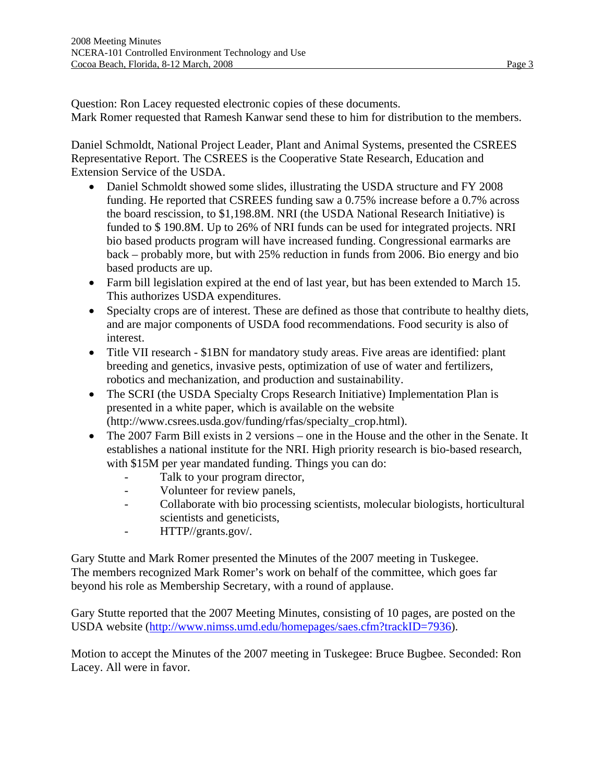Question: Ron Lacey requested electronic copies of these documents. Mark Romer requested that Ramesh Kanwar send these to him for distribution to the members.

Daniel Schmoldt, National Project Leader, Plant and Animal Systems, presented the CSREES Representative Report. The CSREES is the Cooperative State Research, Education and Extension Service of the USDA.

- Daniel Schmoldt showed some slides, illustrating the USDA structure and FY 2008 funding. He reported that CSREES funding saw a 0.75% increase before a 0.7% across the board rescission, to \$1,198.8M. NRI (the USDA National Research Initiative) is funded to \$ 190.8M. Up to 26% of NRI funds can be used for integrated projects. NRI bio based products program will have increased funding. Congressional earmarks are back – probably more, but with 25% reduction in funds from 2006. Bio energy and bio based products are up.
- Farm bill legislation expired at the end of last year, but has been extended to March 15. This authorizes USDA expenditures.
- Specialty crops are of interest. These are defined as those that contribute to healthy diets, and are major components of USDA food recommendations. Food security is also of interest.
- Title VII research \$1BN for mandatory study areas. Five areas are identified: plant breeding and genetics, invasive pests, optimization of use of water and fertilizers, robotics and mechanization, and production and sustainability.
- The SCRI (the USDA Specialty Crops Research Initiative) Implementation Plan is presented in a white paper, which is available on the website (http://www.csrees.usda.gov/funding/rfas/specialty\_crop.html).
- The 2007 Farm Bill exists in 2 versions one in the House and the other in the Senate. It establishes a national institute for the NRI. High priority research is bio-based research, with \$15M per year mandated funding. Things you can do:
	- Talk to your program director,
	- Volunteer for review panels,
	- Collaborate with bio processing scientists, molecular biologists, horticultural scientists and geneticists,
	- HTTP//grants.gov/.

Gary Stutte and Mark Romer presented the Minutes of the 2007 meeting in Tuskegee. The members recognized Mark Romer's work on behalf of the committee, which goes far beyond his role as Membership Secretary, with a round of applause.

Gary Stutte reported that the 2007 Meeting Minutes, consisting of 10 pages, are posted on the USDA website [\(http://www.nimss.umd.edu/homepages/saes.cfm?trackID=7936\)](http://www.nimss.umd.edu/homepages/saes.cfm?trackID=7936).

Motion to accept the Minutes of the 2007 meeting in Tuskegee: Bruce Bugbee. Seconded: Ron Lacey. All were in favor.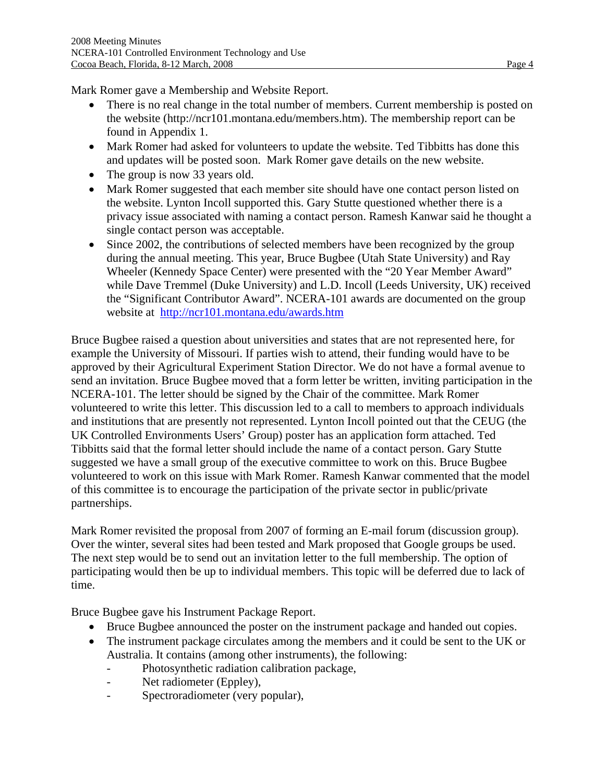Mark Romer gave a Membership and Website Report.

- There is no real change in the total number of members. Current membership is posted on the website (http://ncr101.montana.edu/members.htm). The membership report can be found in Appendix 1.
- Mark Romer had asked for volunteers to update the website. Ted Tibbitts has done this and updates will be posted soon. Mark Romer gave details on the new website.
- The group is now 33 years old.
- Mark Romer suggested that each member site should have one contact person listed on the website. Lynton Incoll supported this. Gary Stutte questioned whether there is a privacy issue associated with naming a contact person. Ramesh Kanwar said he thought a single contact person was acceptable.
- Since 2002, the contributions of selected members have been recognized by the group during the annual meeting. This year, Bruce Bugbee (Utah State University) and Ray Wheeler (Kennedy Space Center) were presented with the "20 Year Member Award" while Dave Tremmel (Duke University) and L.D. Incoll (Leeds University, UK) received the "Significant Contributor Award". NCERA-101 awards are documented on the group website at <http://ncr101.montana.edu/awards.htm>

Bruce Bugbee raised a question about universities and states that are not represented here, for example the University of Missouri. If parties wish to attend, their funding would have to be approved by their Agricultural Experiment Station Director. We do not have a formal avenue to send an invitation. Bruce Bugbee moved that a form letter be written, inviting participation in the NCERA-101. The letter should be signed by the Chair of the committee. Mark Romer volunteered to write this letter. This discussion led to a call to members to approach individuals and institutions that are presently not represented. Lynton Incoll pointed out that the CEUG (the UK Controlled Environments Users' Group) poster has an application form attached. Ted Tibbitts said that the formal letter should include the name of a contact person. Gary Stutte suggested we have a small group of the executive committee to work on this. Bruce Bugbee volunteered to work on this issue with Mark Romer. Ramesh Kanwar commented that the model of this committee is to encourage the participation of the private sector in public/private partnerships.

Mark Romer revisited the proposal from 2007 of forming an E-mail forum (discussion group). Over the winter, several sites had been tested and Mark proposed that Google groups be used. The next step would be to send out an invitation letter to the full membership. The option of participating would then be up to individual members. This topic will be deferred due to lack of time.

Bruce Bugbee gave his Instrument Package Report.

- Bruce Bugbee announced the poster on the instrument package and handed out copies.
- The instrument package circulates among the members and it could be sent to the UK or Australia. It contains (among other instruments), the following:
	- Photosynthetic radiation calibration package,
	- Net radiometer (Eppley),
	- Spectroradiometer (very popular),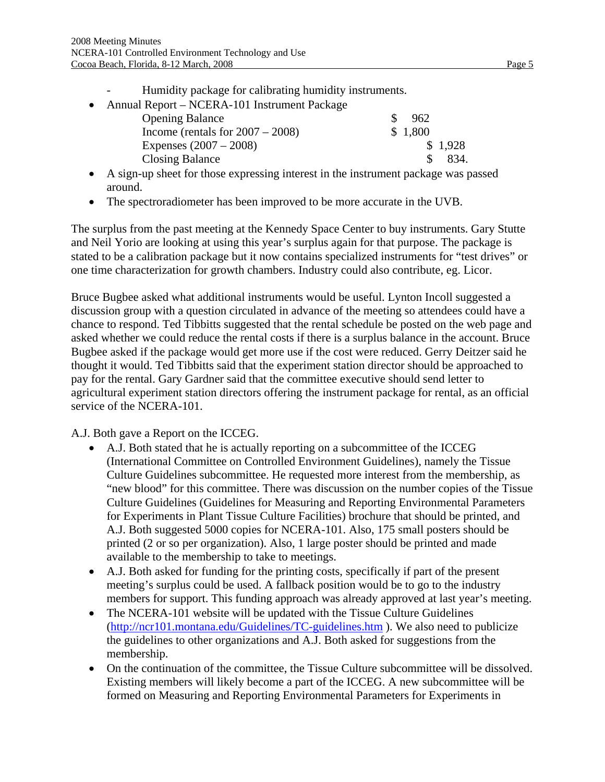- Humidity package for calibrating humidity instruments.
- Annual Report NCERA-101 Instrument Package Opening Balance \$ 962 Income (rentals for  $2007 - 2008$ ) \$ 1,800 Expenses  $(2007 - 2008)$  \$ 1,928 Closing Balance \$ 834.
- A sign-up sheet for those expressing interest in the instrument package was passed around.
- The spectroradiometer has been improved to be more accurate in the UVB.

The surplus from the past meeting at the Kennedy Space Center to buy instruments. Gary Stutte and Neil Yorio are looking at using this year's surplus again for that purpose. The package is stated to be a calibration package but it now contains specialized instruments for "test drives" or one time characterization for growth chambers. Industry could also contribute, eg. Licor.

Bruce Bugbee asked what additional instruments would be useful. Lynton Incoll suggested a discussion group with a question circulated in advance of the meeting so attendees could have a chance to respond. Ted Tibbitts suggested that the rental schedule be posted on the web page and asked whether we could reduce the rental costs if there is a surplus balance in the account. Bruce Bugbee asked if the package would get more use if the cost were reduced. Gerry Deitzer said he thought it would. Ted Tibbitts said that the experiment station director should be approached to pay for the rental. Gary Gardner said that the committee executive should send letter to agricultural experiment station directors offering the instrument package for rental, as an official service of the NCERA-101.

A.J. Both gave a Report on the ICCEG.

- A.J. Both stated that he is actually reporting on a subcommittee of the ICCEG (International Committee on Controlled Environment Guidelines), namely the Tissue Culture Guidelines subcommittee. He requested more interest from the membership, as "new blood" for this committee. There was discussion on the number copies of the Tissue Culture Guidelines (Guidelines for Measuring and Reporting Environmental Parameters for Experiments in Plant Tissue Culture Facilities) brochure that should be printed, and A.J. Both suggested 5000 copies for NCERA-101. Also, 175 small posters should be printed (2 or so per organization). Also, 1 large poster should be printed and made available to the membership to take to meetings.
- A.J. Both asked for funding for the printing costs, specifically if part of the present meeting's surplus could be used. A fallback position would be to go to the industry members for support. This funding approach was already approved at last year's meeting.
- The NCERA-101 website will be updated with the Tissue Culture Guidelines (<http://ncr101.montana.edu/Guidelines/TC-guidelines.htm>). We also need to publicize the guidelines to other organizations and A.J. Both asked for suggestions from the membership.
- On the continuation of the committee, the Tissue Culture subcommittee will be dissolved. Existing members will likely become a part of the ICCEG. A new subcommittee will be formed on Measuring and Reporting Environmental Parameters for Experiments in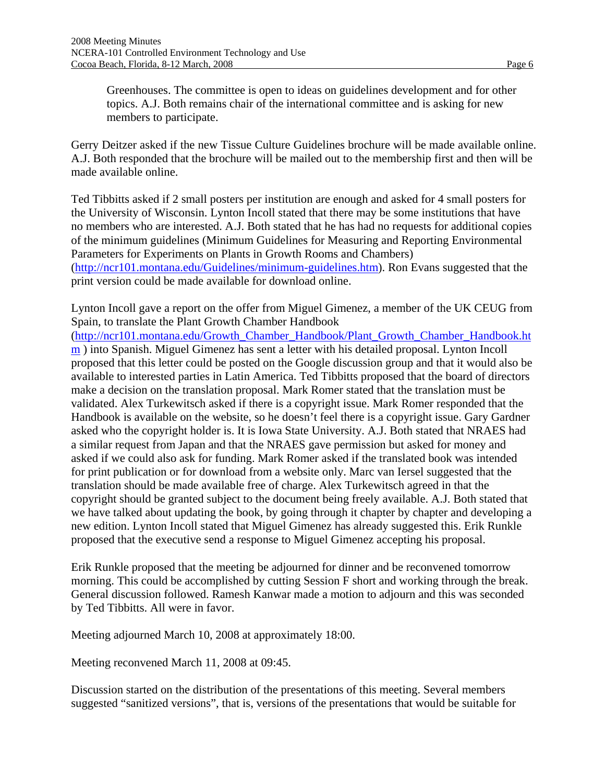Greenhouses. The committee is open to ideas on guidelines development and for other topics. A.J. Both remains chair of the international committee and is asking for new members to participate.

Gerry Deitzer asked if the new Tissue Culture Guidelines brochure will be made available online. A.J. Both responded that the brochure will be mailed out to the membership first and then will be made available online.

Ted Tibbitts asked if 2 small posters per institution are enough and asked for 4 small posters for the University of Wisconsin. Lynton Incoll stated that there may be some institutions that have no members who are interested. A.J. Both stated that he has had no requests for additional copies of the minimum guidelines (Minimum Guidelines for Measuring and Reporting Environmental Parameters for Experiments on Plants in Growth Rooms and Chambers) ([http://ncr101.montana.edu/Guidelines/minimum-guidelines.htm\)](http://ncr101.montana.edu/Guidelines/minimum-guidelines.htm). Ron Evans suggested that the print version could be made available for download online.

Lynton Incoll gave a report on the offer from Miguel Gimenez, a member of the UK CEUG from Spain, to translate the Plant Growth Chamber Handbook ([http://ncr101.montana.edu/Growth\\_Chamber\\_Handbook/Plant\\_Growth\\_Chamber\\_Handbook.ht](http://ncr101.montana.edu/Growth_Chamber_Handbook/Plant_Growth_Chamber_Handbook.htm) [m](http://ncr101.montana.edu/Growth_Chamber_Handbook/Plant_Growth_Chamber_Handbook.htm) ) into Spanish. Miguel Gimenez has sent a letter with his detailed proposal. Lynton Incoll proposed that this letter could be posted on the Google discussion group and that it would also be available to interested parties in Latin America. Ted Tibbitts proposed that the board of directors make a decision on the translation proposal. Mark Romer stated that the translation must be validated. Alex Turkewitsch asked if there is a copyright issue. Mark Romer responded that the Handbook is available on the website, so he doesn't feel there is a copyright issue. Gary Gardner asked who the copyright holder is. It is Iowa State University. A.J. Both stated that NRAES had a similar request from Japan and that the NRAES gave permission but asked for money and asked if we could also ask for funding. Mark Romer asked if the translated book was intended for print publication or for download from a website only. Marc van Iersel suggested that the translation should be made available free of charge. Alex Turkewitsch agreed in that the copyright should be granted subject to the document being freely available. A.J. Both stated that we have talked about updating the book, by going through it chapter by chapter and developing a new edition. Lynton Incoll stated that Miguel Gimenez has already suggested this. Erik Runkle proposed that the executive send a response to Miguel Gimenez accepting his proposal.

Erik Runkle proposed that the meeting be adjourned for dinner and be reconvened tomorrow morning. This could be accomplished by cutting Session F short and working through the break. General discussion followed. Ramesh Kanwar made a motion to adjourn and this was seconded by Ted Tibbitts. All were in favor.

Meeting adjourned March 10, 2008 at approximately 18:00.

Meeting reconvened March 11, 2008 at 09:45.

Discussion started on the distribution of the presentations of this meeting. Several members suggested "sanitized versions", that is, versions of the presentations that would be suitable for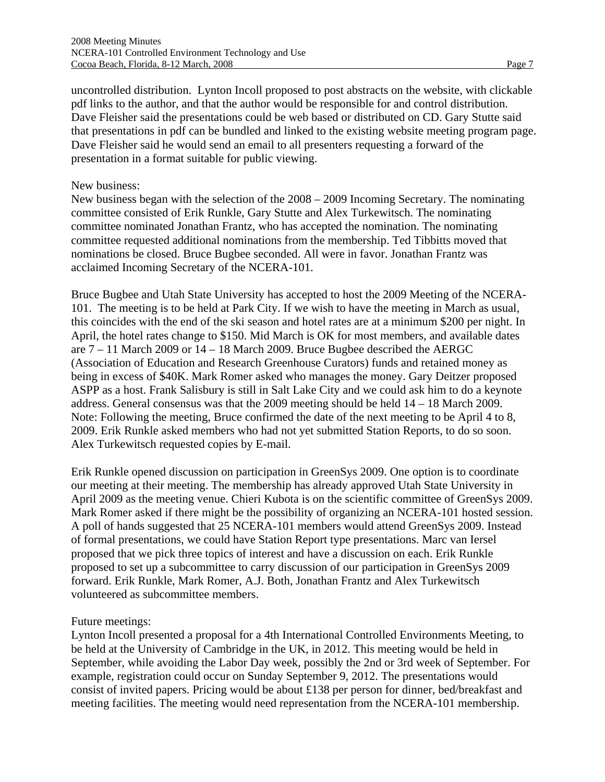uncontrolled distribution. Lynton Incoll proposed to post abstracts on the website, with clickable pdf links to the author, and that the author would be responsible for and control distribution. Dave Fleisher said the presentations could be web based or distributed on CD. Gary Stutte said that presentations in pdf can be bundled and linked to the existing website meeting program page. Dave Fleisher said he would send an email to all presenters requesting a forward of the presentation in a format suitable for public viewing.

#### New business:

New business began with the selection of the 2008 – 2009 Incoming Secretary. The nominating committee consisted of Erik Runkle, Gary Stutte and Alex Turkewitsch. The nominating committee nominated Jonathan Frantz, who has accepted the nomination. The nominating committee requested additional nominations from the membership. Ted Tibbitts moved that nominations be closed. Bruce Bugbee seconded. All were in favor. Jonathan Frantz was acclaimed Incoming Secretary of the NCERA-101.

Bruce Bugbee and Utah State University has accepted to host the 2009 Meeting of the NCERA-101. The meeting is to be held at Park City. If we wish to have the meeting in March as usual, this coincides with the end of the ski season and hotel rates are at a minimum \$200 per night. In April, the hotel rates change to \$150. Mid March is OK for most members, and available dates are 7 – 11 March 2009 or 14 – 18 March 2009. Bruce Bugbee described the AERGC (Association of Education and Research Greenhouse Curators) funds and retained money as being in excess of \$40K. Mark Romer asked who manages the money. Gary Deitzer proposed ASPP as a host. Frank Salisbury is still in Salt Lake City and we could ask him to do a keynote address. General consensus was that the 2009 meeting should be held 14 – 18 March 2009. Note: Following the meeting, Bruce confirmed the date of the next meeting to be April 4 to 8, 2009. Erik Runkle asked members who had not yet submitted Station Reports, to do so soon. Alex Turkewitsch requested copies by E-mail.

Erik Runkle opened discussion on participation in GreenSys 2009. One option is to coordinate our meeting at their meeting. The membership has already approved Utah State University in April 2009 as the meeting venue. Chieri Kubota is on the scientific committee of GreenSys 2009. Mark Romer asked if there might be the possibility of organizing an NCERA-101 hosted session. A poll of hands suggested that 25 NCERA-101 members would attend GreenSys 2009. Instead of formal presentations, we could have Station Report type presentations. Marc van Iersel proposed that we pick three topics of interest and have a discussion on each. Erik Runkle proposed to set up a subcommittee to carry discussion of our participation in GreenSys 2009 forward. Erik Runkle, Mark Romer, A.J. Both, Jonathan Frantz and Alex Turkewitsch volunteered as subcommittee members.

#### Future meetings:

Lynton Incoll presented a proposal for a 4th International Controlled Environments Meeting, to be held at the University of Cambridge in the UK, in 2012. This meeting would be held in September, while avoiding the Labor Day week, possibly the 2nd or 3rd week of September. For example, registration could occur on Sunday September 9, 2012. The presentations would consist of invited papers. Pricing would be about £138 per person for dinner, bed/breakfast and meeting facilities. The meeting would need representation from the NCERA-101 membership.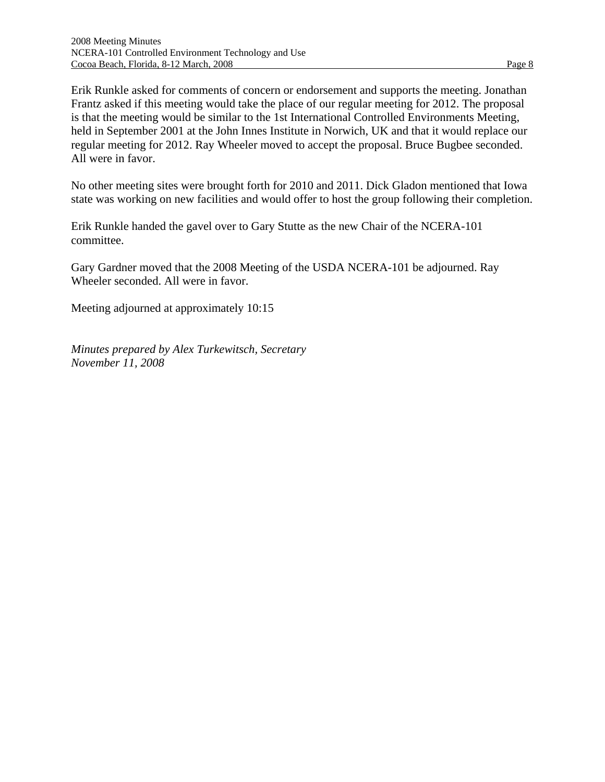Erik Runkle asked for comments of concern or endorsement and supports the meeting. Jonathan Frantz asked if this meeting would take the place of our regular meeting for 2012. The proposal is that the meeting would be similar to the 1st International Controlled Environments Meeting, held in September 2001 at the John Innes Institute in Norwich, UK and that it would replace our regular meeting for 2012. Ray Wheeler moved to accept the proposal. Bruce Bugbee seconded. All were in favor.

No other meeting sites were brought forth for 2010 and 2011. Dick Gladon mentioned that Iowa state was working on new facilities and would offer to host the group following their completion.

Erik Runkle handed the gavel over to Gary Stutte as the new Chair of the NCERA-101 committee.

Gary Gardner moved that the 2008 Meeting of the USDA NCERA-101 be adjourned. Ray Wheeler seconded. All were in favor.

Meeting adjourned at approximately 10:15

*Minutes prepared by Alex Turkewitsch, Secretary November 11, 2008*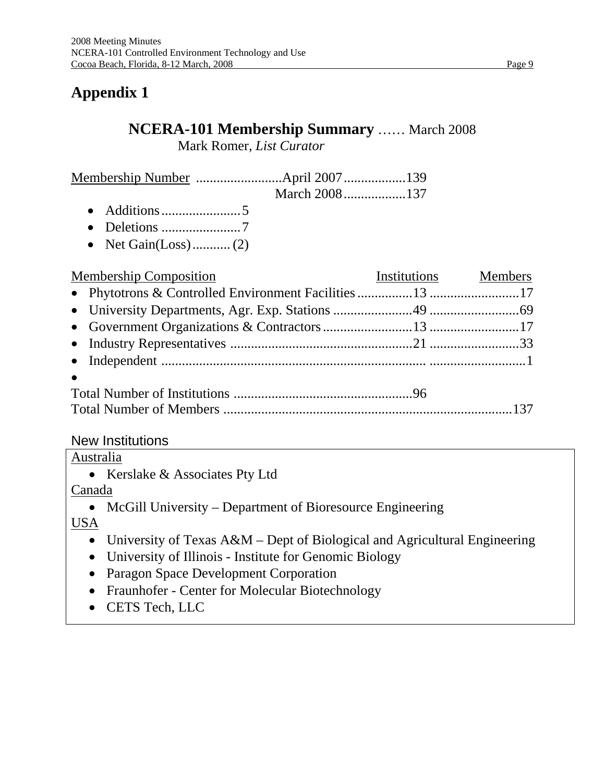# **Appendix 1**

# **NCERA-101 Membership Summary** …… March 2008

Mark Romer, *List Curator* 

- Additions .......................5
- Deletions .......................7
- Net Gain(Loss)........... (2)

| <b>Example 15 Institutions</b> Members<br><b>Membership Composition</b> |  |
|-------------------------------------------------------------------------|--|
|                                                                         |  |
|                                                                         |  |
|                                                                         |  |
|                                                                         |  |
|                                                                         |  |
| $\bullet$                                                               |  |
|                                                                         |  |
|                                                                         |  |

## New Institutions

Australia

• Kerslake & Associates Pty Ltd

Canada

• McGill University – Department of Bioresource Engineering

USA

- University of Texas A&M Dept of Biological and Agricultural Engineering
- University of Illinois Institute for Genomic Biology
- Paragon Space Development Corporation
- Fraunhofer Center for Molecular Biotechnology
- CETS Tech, LLC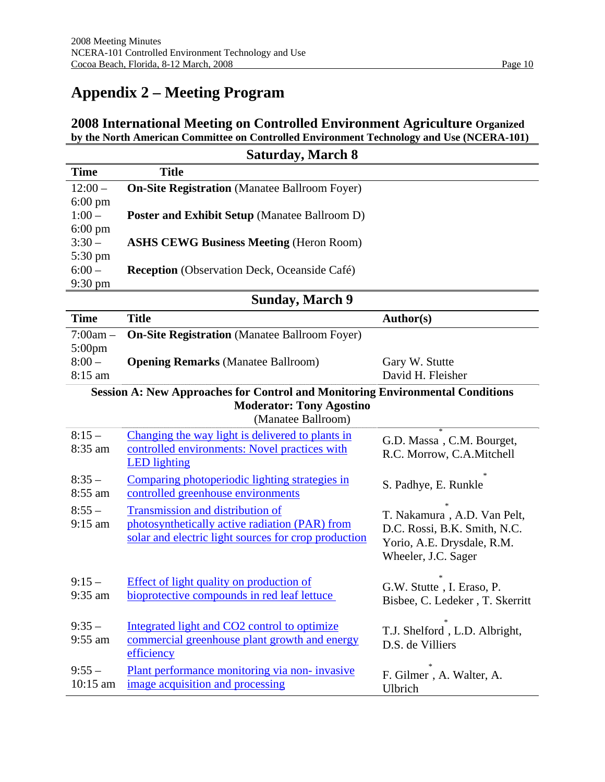# **Appendix 2 – Meeting Program**

### **2008 International Meeting on Controlled Environment Agriculture Organized by the North American Committee on Controlled Environment Technology and Use (NCERA-101)**

|                      | <b>Saturday, March 8</b>                                                             |                                                              |
|----------------------|--------------------------------------------------------------------------------------|--------------------------------------------------------------|
| <b>Time</b>          | <b>Title</b>                                                                         |                                                              |
| $12:00 -$            | <b>On-Site Registration</b> (Manatee Ballroom Foyer)                                 |                                                              |
| $6:00 \text{ pm}$    |                                                                                      |                                                              |
| $1:00 -$             | <b>Poster and Exhibit Setup (Manatee Ballroom D)</b>                                 |                                                              |
| $6:00 \text{ pm}$    |                                                                                      |                                                              |
| $3:30-$              | <b>ASHS CEWG Business Meeting (Heron Room)</b>                                       |                                                              |
| 5:30 pm              |                                                                                      |                                                              |
| $6:00 -$             | Reception (Observation Deck, Oceanside Café)                                         |                                                              |
| $9:30 \text{ pm}$    | <b>Sunday, March 9</b>                                                               |                                                              |
|                      |                                                                                      |                                                              |
| <b>Time</b>          | <b>Title</b>                                                                         | Author(s)                                                    |
| $7:00am -$           | <b>On-Site Registration</b> (Manatee Ballroom Foyer)                                 |                                                              |
| $5:00$ pm<br>$8:00-$ | <b>Opening Remarks</b> (Manatee Ballroom)                                            |                                                              |
| 8:15 am              |                                                                                      | Gary W. Stutte<br>David H. Fleisher                          |
|                      | <b>Session A: New Approaches for Control and Monitoring Environmental Conditions</b> |                                                              |
|                      | <b>Moderator: Tony Agostino</b>                                                      |                                                              |
|                      | (Manatee Ballroom)                                                                   |                                                              |
| $8:15-$              | Changing the way light is delivered to plants in                                     |                                                              |
| 8:35 am              | controlled environments: Novel practices with                                        | G.D. Massa, C.M. Bourget,                                    |
|                      | <b>LED</b> lighting                                                                  | R.C. Morrow, C.A.Mitchell                                    |
| $8:35-$              | Comparing photoperiodic lighting strategies in                                       |                                                              |
| 8:55 am              | controlled greenhouse environments                                                   | S. Padhye, E. Runkle                                         |
| $8:55-$              | <b>Transmission and distribution of</b>                                              |                                                              |
| $9:15$ am            | photosynthetically active radiation (PAR) from                                       | T. Nakamura, A.D. Van Pelt,                                  |
|                      | solar and electric light sources for crop production                                 | D.C. Rossi, B.K. Smith, N.C.                                 |
|                      |                                                                                      | Yorio, A.E. Drysdale, R.M.<br>Wheeler, J.C. Sager            |
|                      |                                                                                      |                                                              |
| $9:15-$              | <b>Effect of light quality on production of</b>                                      |                                                              |
| 9:35 am              | bioprotective compounds in red leaf lettuce                                          | G.W. Stutte, I. Eraso, P.<br>Bisbee, C. Ledeker, T. Skerritt |
|                      |                                                                                      |                                                              |
| $9:35-$              | Integrated light and CO2 control to optimize                                         |                                                              |
| 9:55 am              | commercial greenhouse plant growth and energy                                        | T.J. Shelford, L.D. Albright,<br>D.S. de Villiers            |
|                      | efficiency                                                                           |                                                              |
| $9:55 -$             | Plant performance monitoring via non-invasive                                        | F. Gilmer, A. Walter, A.                                     |
| 10:15 am             | image acquisition and processing                                                     | Ulbrich                                                      |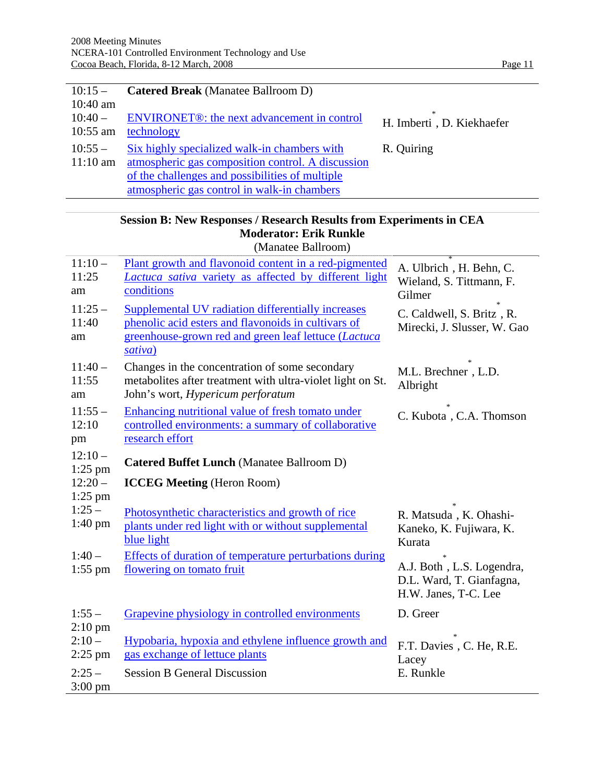l.

| $10:15-$               | <b>Catered Break</b> (Manatee Ballroom D)                              |                                |
|------------------------|------------------------------------------------------------------------|--------------------------------|
| $10:40$ am             |                                                                        |                                |
| $10:40-$<br>$10:55$ am | ENVIRONET <sup>®</sup> : the next advancement in control<br>technology | 宋<br>H. Imberti, D. Kiekhaefer |
|                        |                                                                        |                                |
| $10:55-$               | Six highly specialized walk-in chambers with                           | R. Quiring                     |
| $11:10 \text{ am}$     | atmospheric gas composition control. A discussion                      |                                |
|                        | of the challenges and possibilities of multiple                        |                                |
|                        | atmospheric gas control in walk-in chambers                            |                                |

## **Session B: New Responses / Research Results from Experiments in CEA Moderator: Erik Runkle**

(Manatee Ballroom)

| $11:10-$<br>11:25<br>am<br>$11:25-$<br>11:40<br>am | Plant growth and flavonoid content in a red-pigmented<br>Lactuca sativa variety as affected by different light<br>conditions<br><b>Supplemental UV radiation differentially increases</b><br>phenolic acid esters and flavonoids in cultivars of<br>greenhouse-grown red and green leaf lettuce (Lactuca<br>sativa) | A. Ulbrich, H. Behn, C.<br>Wieland, S. Tittmann, F.<br>Gilmer<br>C. Caldwell, S. Britz, R.<br>Mirecki, J. Slusser, W. Gao |
|----------------------------------------------------|---------------------------------------------------------------------------------------------------------------------------------------------------------------------------------------------------------------------------------------------------------------------------------------------------------------------|---------------------------------------------------------------------------------------------------------------------------|
| $11:40-$<br>11:55<br>am                            | Changes in the concentration of some secondary<br>metabolites after treatment with ultra-violet light on St.<br>John's wort, Hypericum perforatum                                                                                                                                                                   | M.L. Brechner, L.D.<br>Albright                                                                                           |
| $11:55-$<br>12:10<br>pm                            | Enhancing nutritional value of fresh tomato under<br>controlled environments: a summary of collaborative<br>research effort                                                                                                                                                                                         | C. Kubota, C.A. Thomson                                                                                                   |
| $12:10-$<br>$1:25$ pm<br>$12:20 -$<br>$1:25$ pm    | <b>Catered Buffet Lunch (Manatee Ballroom D)</b><br><b>ICCEG Meeting</b> (Heron Room)                                                                                                                                                                                                                               |                                                                                                                           |
| $1:25-$<br>$1:40 \text{ pm}$                       | Photosynthetic characteristics and growth of rice<br>plants under red light with or without supplemental<br>blue light                                                                                                                                                                                              | R. Matsuda, K. Ohashi-<br>Kaneko, K. Fujiwara, K.<br>Kurata                                                               |
| $1:40-$<br>$1:55$ pm                               | Effects of duration of temperature perturbations during<br>flowering on tomato fruit                                                                                                                                                                                                                                | A.J. Both, L.S. Logendra,<br>D.L. Ward, T. Gianfagna,<br>H.W. Janes, T-C. Lee                                             |
| $1:55-$                                            | Grapevine physiology in controlled environments                                                                                                                                                                                                                                                                     | D. Greer                                                                                                                  |
| $2:10$ pm<br>$2:10-$<br>$2:25$ pm                  | Hypobaria, hypoxia and ethylene influence growth and<br>gas exchange of lettuce plants                                                                                                                                                                                                                              | F.T. Davies, C. He, R.E.<br>Lacey                                                                                         |
| $2:25-$<br>$3:00 \text{ pm}$                       | <b>Session B General Discussion</b>                                                                                                                                                                                                                                                                                 | E. Runkle                                                                                                                 |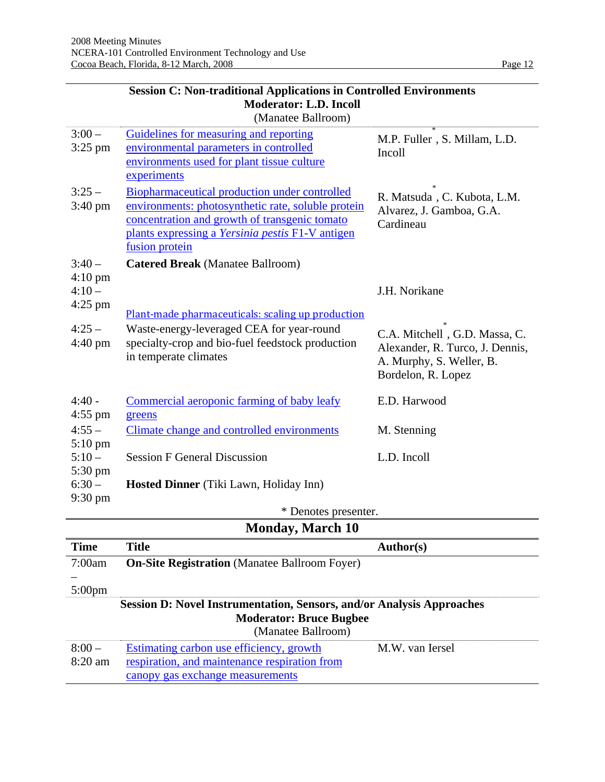|                                           | <b>Moderator: L.D. Incoll</b><br>(Manatee Ballroom)                                                                                                                                                                        |                                                                                                                    |
|-------------------------------------------|----------------------------------------------------------------------------------------------------------------------------------------------------------------------------------------------------------------------------|--------------------------------------------------------------------------------------------------------------------|
| $3:00 -$<br>$3:25$ pm                     | Guidelines for measuring and reporting<br>environmental parameters in controlled<br>environments used for plant tissue culture<br>experiments                                                                              | M.P. Fuller, S. Millam, L.D.<br>Incoll                                                                             |
| $3:25-$<br>$3:40 \text{ pm}$              | Biopharmaceutical production under controlled<br>environments: photosynthetic rate, soluble protein<br>concentration and growth of transgenic tomato<br>plants expressing a Yersinia pestis F1-V antigen<br>fusion protein | R. Matsuda, C. Kubota, L.M.<br>Alvarez, J. Gamboa, G.A.<br>Cardineau                                               |
| $3:40-$                                   | <b>Catered Break</b> (Manatee Ballroom)                                                                                                                                                                                    |                                                                                                                    |
| $4:10 \text{ pm}$<br>$4:10-$<br>$4:25$ pm | Plant-made pharmaceuticals: scaling up production                                                                                                                                                                          | J.H. Norikane                                                                                                      |
| $4:25-$<br>$4:40 \text{ pm}$              | Waste-energy-leveraged CEA for year-round<br>specialty-crop and bio-fuel feedstock production<br>in temperate climates                                                                                                     | C.A. Mitchell, G.D. Massa, C.<br>Alexander, R. Turco, J. Dennis,<br>A. Murphy, S. Weller, B.<br>Bordelon, R. Lopez |
| $4:40 -$<br>$4:55$ pm                     | Commercial aeroponic farming of baby leafy<br>greens                                                                                                                                                                       | E.D. Harwood                                                                                                       |
| $4:55 -$                                  | Climate change and controlled environments                                                                                                                                                                                 | M. Stenning                                                                                                        |
| $5:10 \text{ pm}$<br>$5:10-$<br>5:30 pm   | <b>Session F General Discussion</b>                                                                                                                                                                                        | L.D. Incoll                                                                                                        |
| $6:30-$                                   | Hosted Dinner (Tiki Lawn, Holiday Inn)                                                                                                                                                                                     |                                                                                                                    |
| 9:30 pm                                   | * Denotes presenter.                                                                                                                                                                                                       |                                                                                                                    |
|                                           | <b>R</b> $\blacksquare$<br>$\mathbf{J}$<br>$M = 1.40$                                                                                                                                                                      |                                                                                                                    |

# **Session C: Non-traditional Applications in Controlled Environments**

| * Denotes presenter.                                                                                                                 |                                                                                                                               |                  |
|--------------------------------------------------------------------------------------------------------------------------------------|-------------------------------------------------------------------------------------------------------------------------------|------------------|
| <b>Monday, March 10</b>                                                                                                              |                                                                                                                               |                  |
| <b>Time</b>                                                                                                                          | <b>Title</b>                                                                                                                  | <b>Author(s)</b> |
| 7:00am                                                                                                                               | <b>On-Site Registration</b> (Manatee Ballroom Foyer)                                                                          |                  |
|                                                                                                                                      |                                                                                                                               |                  |
| $5:00 \text{pm}$                                                                                                                     |                                                                                                                               |                  |
| <b>Session D: Novel Instrumentation, Sensors, and/or Analysis Approaches</b><br><b>Moderator: Bruce Bugbee</b><br>(Manatee Ballroom) |                                                                                                                               |                  |
| $8:00-$<br>$8:20$ am                                                                                                                 | Estimating carbon use efficiency, growth<br>respiration, and maintenance respiration from<br>canopy gas exchange measurements | M.W. van Iersel  |
|                                                                                                                                      |                                                                                                                               |                  |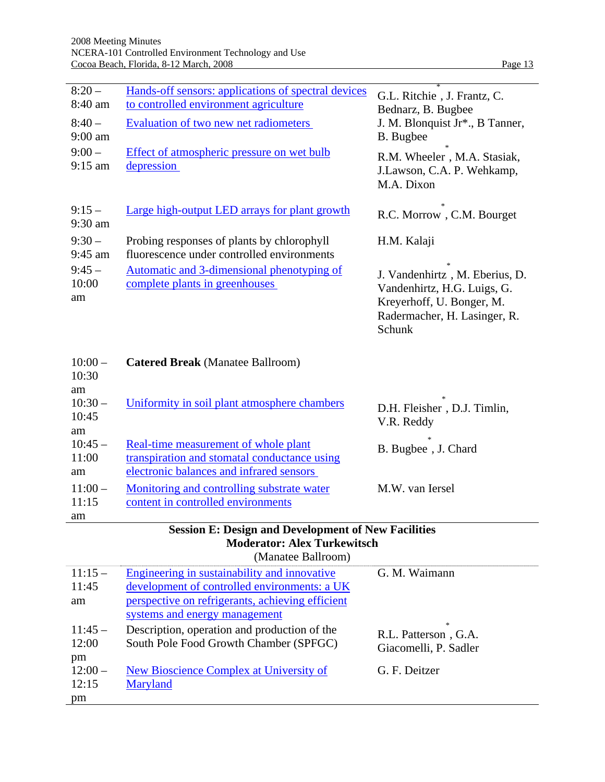| $8:20-$<br>8:40 am     | Hands-off sensors: applications of spectral devices<br>to controlled environment agriculture | G.L. Ritchie, J. Frantz, C.<br>Bednarz, B. Bugbee                                                                                    |
|------------------------|----------------------------------------------------------------------------------------------|--------------------------------------------------------------------------------------------------------------------------------------|
| $8:40-$<br>$9:00$ am   | Evaluation of two new net radiometers                                                        | J. M. Blonquist Jr <sup>*</sup> ., B Tanner,<br>B. Bugbee                                                                            |
| $9:00-$<br>$9:15$ am   | Effect of atmospheric pressure on wet bulb<br>depression                                     | R.M. Wheeler, M.A. Stasiak,<br>J.Lawson, C.A. P. Wehkamp,<br>M.A. Dixon                                                              |
| $9:15-$<br>$9:30$ am   | Large high-output LED arrays for plant growth                                                | R.C. Morrow, C.M. Bourget                                                                                                            |
| $9:30-$<br>9:45 am     | Probing responses of plants by chlorophyll<br>fluorescence under controlled environments     | H.M. Kalaji                                                                                                                          |
| $9:45-$<br>10:00<br>am | Automatic and 3-dimensional phenotyping of<br>complete plants in greenhouses                 | J. Vandenhirtz, M. Eberius, D.<br>Vandenhirtz, H.G. Luigs, G.<br>Kreyerhoff, U. Bonger, M.<br>Radermacher, H. Lasinger, R.<br>Schunk |

| $10:00-$<br>10:30 | <b>Catered Break</b> (Manatee Ballroom)      |                             |
|-------------------|----------------------------------------------|-----------------------------|
| am                |                                              | $\ast$                      |
| $10:30-$          | Uniformity in soil plant atmosphere chambers | D.H. Fleisher, D.J. Timlin, |
| 10:45             |                                              | V.R. Reddy                  |
| am                |                                              | $\ast$                      |
| $10:45-$          | Real-time measurement of whole plant         | B. Bugbee, J. Chard         |
| 11:00             | transpiration and stomatal conductance using |                             |
| am                | electronic balances and infrared sensors     |                             |
| $11:00-$          | Monitoring and controlling substrate water   | M.W. van Iersel             |
| 11:15             | content in controlled environments           |                             |
| am                |                                              |                             |

| <b>Session E: Design and Development of New Facilities</b> |  |  |
|------------------------------------------------------------|--|--|
| <b>Moderator: Alex Turkewitsch</b>                         |  |  |
| (Manatee Ballroom)                                         |  |  |

| (Manawe Danivoni) |                                                  |                                       |
|-------------------|--------------------------------------------------|---------------------------------------|
| $11:15-$          | Engineering in sustainability and innovative     | G. M. Waimann                         |
| 11:45             | development of controlled environments: a UK     |                                       |
| am                | perspective on refrigerants, achieving efficient |                                       |
|                   | systems and energy management                    |                                       |
| $11:45-$          | Description, operation and production of the     | $\frac{1}{2}$<br>R.L. Patterson, G.A. |
| 12:00             | South Pole Food Growth Chamber (SPFGC)           | Giacomelli, P. Sadler                 |
| pm                |                                                  |                                       |
| $12:00-$          | New Bioscience Complex at University of          | G. F. Deitzer                         |
| 12:15             | Maryland                                         |                                       |
| pm                |                                                  |                                       |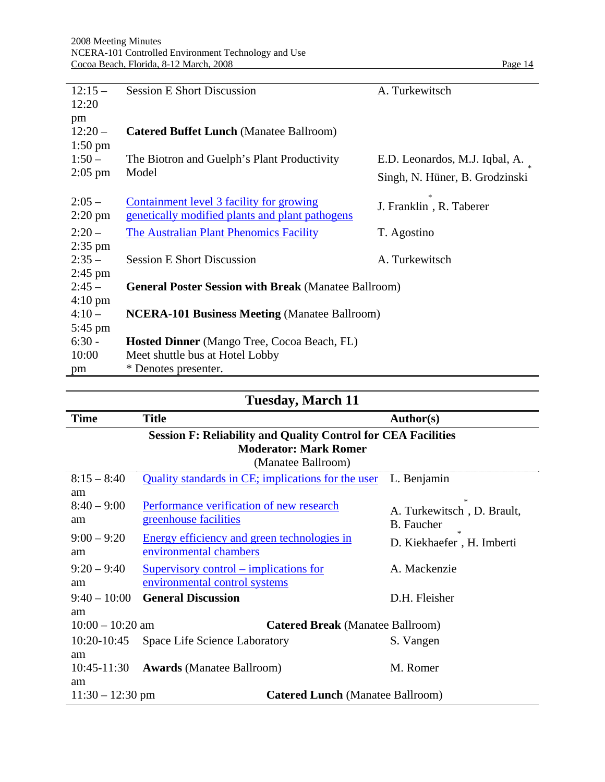| $12:15-$<br>12:20    | <b>Session E Short Discussion</b>                           | A. Turkewitsch                 |
|----------------------|-------------------------------------------------------------|--------------------------------|
| pm<br>$12:20-$       | <b>Catered Buffet Lunch (Manatee Ballroom)</b>              |                                |
| $1:50$ pm            |                                                             |                                |
| $1:50-$              | The Biotron and Guelph's Plant Productivity                 | E.D. Leonardos, M.J. Iqbal, A. |
| $2:05$ pm            | Model                                                       | Singh, N. Hüner, B. Grodzinski |
| $2:05-$              | Containment level 3 facility for growing                    | J. Franklin, R. Taberer        |
| $2:20 \text{ pm}$    | genetically modified plants and plant pathogens             |                                |
| $2:20-$              | The Australian Plant Phenomics Facility                     | T. Agostino                    |
| $2:35$ pm            |                                                             |                                |
| $2:35-$<br>$2:45$ pm | <b>Session E Short Discussion</b>                           | A. Turkewitsch                 |
| $2:45-$              | <b>General Poster Session with Break (Manatee Ballroom)</b> |                                |
| $4:10 \text{ pm}$    |                                                             |                                |
| $4:10-$              | <b>NCERA-101 Business Meeting (Manatee Ballroom)</b>        |                                |
| $5:45$ pm            |                                                             |                                |
| $6:30 -$             | <b>Hosted Dinner</b> (Mango Tree, Cocoa Beach, FL)          |                                |
| 10:00                | Meet shuttle bus at Hotel Lobby                             |                                |
| pm                   | * Denotes presenter.                                        |                                |

| <b>Tuesday, March 11</b>                                                                                                   |                                                                       |                                                    |  |
|----------------------------------------------------------------------------------------------------------------------------|-----------------------------------------------------------------------|----------------------------------------------------|--|
| <b>Time</b>                                                                                                                | <b>Title</b>                                                          | <b>Author(s)</b>                                   |  |
| <b>Session F: Reliability and Quality Control for CEA Facilities</b><br><b>Moderator: Mark Romer</b><br>(Manatee Ballroom) |                                                                       |                                                    |  |
| $8:15 - 8:40$                                                                                                              | <b>Quality standards in CE; implications for the user</b>             | L. Benjamin                                        |  |
| am<br>$8:40 - 9:00$<br>am                                                                                                  | Performance verification of new research<br>greenhouse facilities     | $\ast$<br>A. Turkewitsch, D. Brault,<br>B. Faucher |  |
| $9:00 - 9:20$<br>am                                                                                                        | Energy efficiency and green technologies in<br>environmental chambers | D. Kiekhaefer, H. Imberti                          |  |
| $9:20 - 9:40$                                                                                                              | <u>Supervisory control – implications for</u>                         | A. Mackenzie                                       |  |
| am                                                                                                                         | environmental control systems                                         |                                                    |  |
| $9:40 - 10:00$                                                                                                             | <b>General Discussion</b>                                             | D.H. Fleisher                                      |  |
| am                                                                                                                         |                                                                       |                                                    |  |
| $10:00 - 10:20$ am<br><b>Catered Break</b> (Manatee Ballroom)                                                              |                                                                       |                                                    |  |
| 10:20-10:45                                                                                                                | Space Life Science Laboratory                                         | S. Vangen                                          |  |
| am                                                                                                                         |                                                                       |                                                    |  |
| $10:45-11:30$                                                                                                              | <b>Awards</b> (Manatee Ballroom)                                      | M. Romer                                           |  |
| am                                                                                                                         |                                                                       |                                                    |  |
| $11:30 - 12:30$ pm<br><b>Catered Lunch</b> (Manatee Ballroom)                                                              |                                                                       |                                                    |  |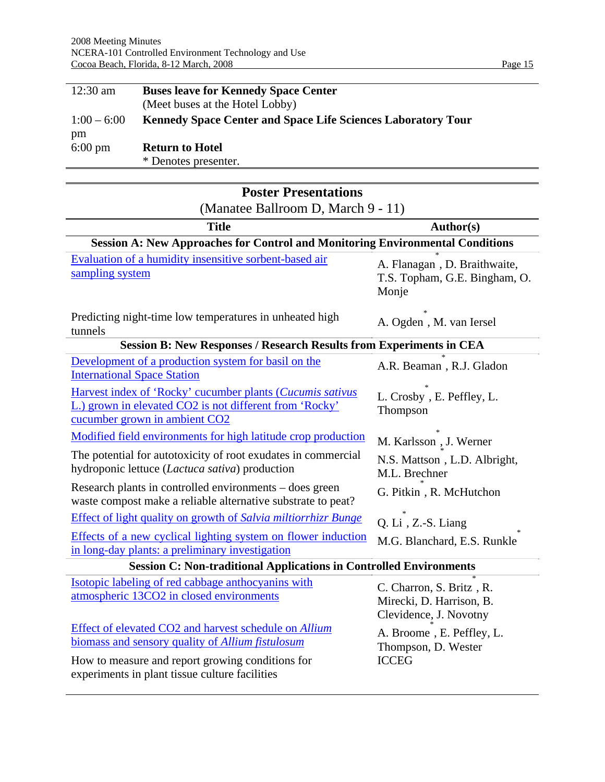| $12:30$ am              | <b>Buses leave for Kennedy Space Center</b><br>(Meet buses at the Hotel Lobby) |
|-------------------------|--------------------------------------------------------------------------------|
| $1:00 - 6:00$           | <b>Kennedy Space Center and Space Life Sciences Laboratory Tour</b>            |
| pm<br>$6:00 \text{ pm}$ | <b>Return to Hotel</b>                                                         |
|                         | * Denotes presenter.                                                           |

| <b>Poster Presentations</b>                                                                                                                                                                                     |                                                                                |  |  |  |
|-----------------------------------------------------------------------------------------------------------------------------------------------------------------------------------------------------------------|--------------------------------------------------------------------------------|--|--|--|
| (Manatee Ballroom D, March 9 - 11)                                                                                                                                                                              |                                                                                |  |  |  |
| <b>Title</b>                                                                                                                                                                                                    | Author(s)                                                                      |  |  |  |
| <b>Session A: New Approaches for Control and Monitoring Environmental Conditions</b>                                                                                                                            |                                                                                |  |  |  |
| Evaluation of a humidity insensitive sorbent-based air<br>sampling system                                                                                                                                       | A. Flanagan, D. Braithwaite,<br>T.S. Topham, G.E. Bingham, O.<br>Monje         |  |  |  |
| Predicting night-time low temperatures in unheated high<br>tunnels                                                                                                                                              | A. Ogden, M. van Iersel                                                        |  |  |  |
| <b>Session B: New Responses / Research Results from Experiments in CEA</b>                                                                                                                                      |                                                                                |  |  |  |
| Development of a production system for basil on the<br><b>International Space Station</b>                                                                                                                       | A.R. Beaman, R.J. Gladon                                                       |  |  |  |
| Harvest index of 'Rocky' cucumber plants (Cucumis sativus<br>L.) grown in elevated CO2 is not different from 'Rocky'<br>cucumber grown in ambient CO2                                                           | L. Crosby, E. Peffley, L.<br>Thompson                                          |  |  |  |
| Modified field environments for high latitude crop production                                                                                                                                                   | M. Karlsson , J. Werner                                                        |  |  |  |
| The potential for autotoxicity of root exudates in commercial<br>hydroponic lettuce (Lactuca sativa) production                                                                                                 | N.S. Mattson, L.D. Albright,<br>M.L. Brechner                                  |  |  |  |
| Research plants in controlled environments – does green<br>waste compost make a reliable alternative substrate to peat?                                                                                         | G. Pitkin, R. McHutchon                                                        |  |  |  |
| <b>Effect of light quality on growth of Salvia miltiorrhizr Bunge</b>                                                                                                                                           | Q. Li, Z.-S. Liang                                                             |  |  |  |
| Effects of a new cyclical lighting system on flower induction<br>in long-day plants: a preliminary investigation                                                                                                | M.G. Blanchard, E.S. Runkle                                                    |  |  |  |
| <b>Session C: Non-traditional Applications in Controlled Environments</b>                                                                                                                                       |                                                                                |  |  |  |
| Isotopic labeling of red cabbage anthocyanins with<br>atmospheric 13CO2 in closed environments                                                                                                                  | C. Charron, S. Britz, R.<br>Mirecki, D. Harrison, B.<br>Clevidence, J. Novotny |  |  |  |
| Effect of elevated CO2 and harvest schedule on Allium<br>biomass and sensory quality of Allium fistulosum<br>How to measure and report growing conditions for<br>experiments in plant tissue culture facilities | A. Broome, E. Peffley, L.<br>Thompson, D. Wester<br><b>ICCEG</b>               |  |  |  |